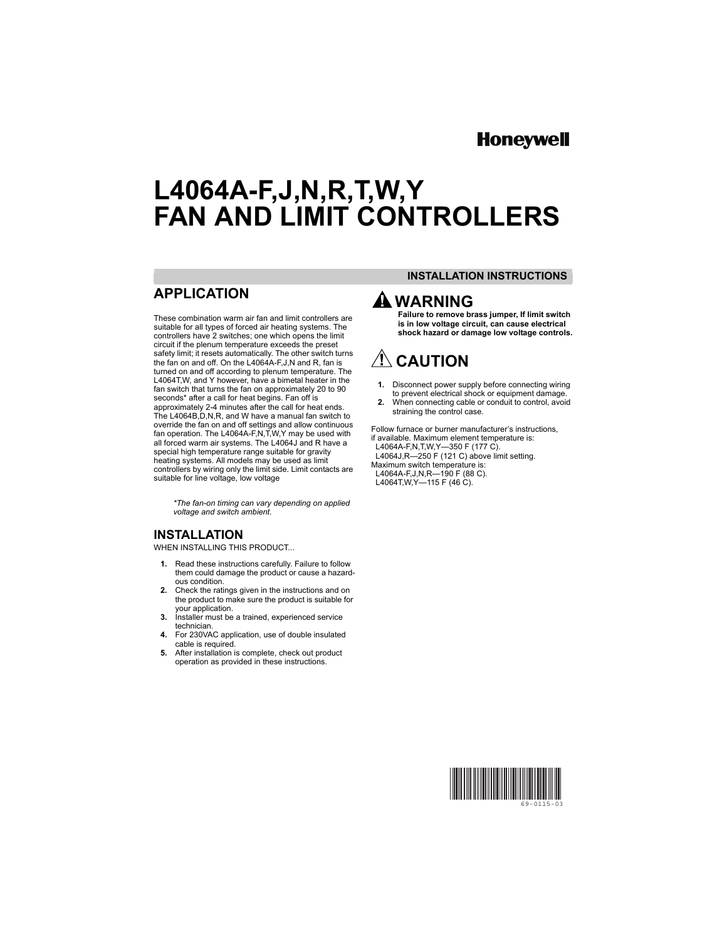# **Honeywel**

# **L4064A-F,J,N,R,T,W,Y FAN AND LIMIT CONTROLLERS**

## **APPLICATION**

These combination warm air fan and limit controllers are suitable for all types of forced air heating systems. The controllers have 2 switches; one which opens the limit circuit if the plenum temperature exceeds the preset safety limit; it resets automatically. The other switch turns the fan on and off. On the L4064A-F,J,N and R, fan is turned on and off according to plenum temperature. The L4064T,W, and Y however, have a bimetal heater in the fan switch that turns the fan on approximately 20 to 90 seconds\* after a call for heat begins. Fan off is approximately 2-4 minutes after the call for heat ends. The L4064B,D,N,R, and W have a manual fan switch to override the fan on and off settings and allow continuous fan operation. The L4064A-F,N,T,W,Y may be used with all forced warm air systems. The L4064J and R have a special high temperature range suitable for gravity heating systems. All models may be used as limit controllers by wiring only the limit side. Limit contacts are suitable for line voltage, low voltage

> *\*The fan-on timing can vary depending on applied voltage and switch ambient.*

### **INSTALLATION**

WHEN INSTALLING THIS PRODUCT...

- **1.** Read these instructions carefully. Failure to follow them could damage the product or cause a hazardous condition.
- **2.** Check the ratings given in the instructions and on the product to make sure the product is suitable for your application.
- **3.** Installer must be a trained, experienced service technician.
- **4.** For 230VAC application, use of double insulated cable is required.
- **5.** After installation is complete, check out product operation as provided in these instructions.

### **INSTALLATION INSTRUCTIONS**

# **WARNING**

**Failure to remove brass jumper, If limit switch is in low voltage circuit, can cause electrical shock hazard or damage low voltage controls.**

# $\Lambda$  CAUTION

- **1.** Disconnect power supply before connecting wiring to prevent electrical shock or equipment damage.
- **2.** When connecting cable or conduit to control, avoid straining the control case.

Follow furnace or burner manufacturer's instructions, if available. Maximum element temperature is: L4064A-F,N,T,W,Y—350 F (177 C).

 L4064J,R—250 F (121 C) above limit setting. Maximum switch temperature is: L4064A-F,J,N,R—190 F (88 C). L4064T,W,Y—115 F (46 C).

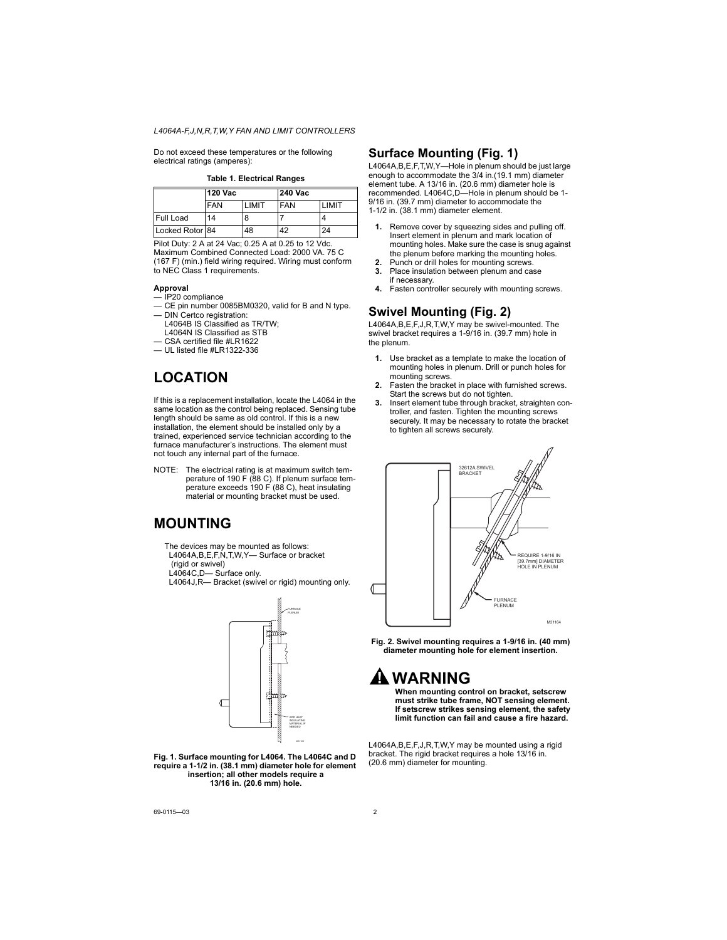Do not exceed these temperatures or the following electrical ratings (amperes):

**Table 1. Electrical Ranges**

|                  | 120 Vac    |               | <b>240 Vac</b> |               |
|------------------|------------|---------------|----------------|---------------|
|                  | <b>FAN</b> | <b>I IMIT</b> | <b>FAN</b>     | <b>I IMIT</b> |
| <b>Full Load</b> | 14         |               |                |               |
| Locked Rotor 84  |            | 48            | 42             | 24            |

Pilot Duty: 2 A at 24 Vac; 0.25 A at 0.25 to 12 Vdc. Maximum Combined Connected Load: 2000 VA. 75 C (167 F) (min.) field wiring required. Wiring must conform to NEC Class 1 requirements.

#### **Approval**

- IP20 compliance
- CE pin number 0085BM0320, valid for B and N type.
- DIN Certco registration: L4064B IS Classified as TR/TW; L4064N IS Classified as STB
- CSA certified file #LR1622
- UL listed file #LR1322-336

# **LOCATION**

If this is a replacement installation, locate the L4064 in the same location as the control being replaced. Sensing tube length should be same as old control. If this is a new installation, the element should be installed only by a trained, experienced service technician according to the furnace manufacturer's instructions. The element must not touch any internal part of the furnace.

NOTE: The electrical rating is at maximum switch temperature of 190 F (88 C). If plenum surface temperature exceeds 190 F (88 C), heat insulating material or mounting bracket must be used.

## **MOUNTING**

The devices may be mounted as follows: L4064A,B,E,F,N,T,W,Y— Surface or bracket

(rigid or swivel)

L4064C,D— Surface only.

L4064J,R— Bracket (swivel or rigid) mounting only.



**Fig. 1. Surface mounting for L4064. The L4064C and D require a 1-1/2 in. (38.1 mm) diameter hole for element insertion; all other models require a 13/16 in. (20.6 mm) hole.**

### **Surface Mounting (Fig. 1)**

L4064A,B,E,F,T,W,Y—Hole in plenum should be just large enough to accommodate the 3/4 in.(19.1 mm) diameter element tube. A 13/16 in. (20.6 mm) diameter hole is recommended. L4064C,D—Hole in plenum should be 1- 9/16 in. (39.7 mm) diameter to accommodate the 1-1/2 in. (38.1 mm) diameter element.

- **1.** Remove cover by squeezing sides and pulling off. Insert element in plenum and mark location of mounting holes. Make sure the case is snug against the plenum before marking the mounting holes.
- **2.** Punch or drill holes for mounting screws.
- **3.** Place insulation between plenum and case if necessary.
- **4.** Fasten controller securely with mounting screws.

### **Swivel Mounting (Fig. 2)**

L4064A,B,E,F,J,R,T,W,Y may be swivel-mounted. The swivel bracket requires a 1-9/16 in. (39.7 mm) hole in the plenum.

- **1.** Use bracket as a template to make the location of mounting holes in plenum. Drill or punch holes for mounting screws.
- **2.** Fasten the bracket in place with furnished screws. Start the screws but do not tighten.
- **3.** Insert element tube through bracket, straighten controller, and fasten. Tighten the mounting screws securely. It may be necessary to rotate the bracket to tighten all screws securely.



**Fig. 2. Swivel mounting requires a 1-9/16 in. (40 mm) diameter mounting hole for element insertion.**

# **WARNING**

**When mounting control on bracket, setscrew must strike tube frame, NOT sensing element. If setscrew strikes sensing element, the safety limit function can fail and cause a fire hazard.**

L4064A,B,E,F,J,R,T,W,Y may be mounted using a rigid bracket. The rigid bracket requires a hole 13/16 in. (20.6 mm) diameter for mounting.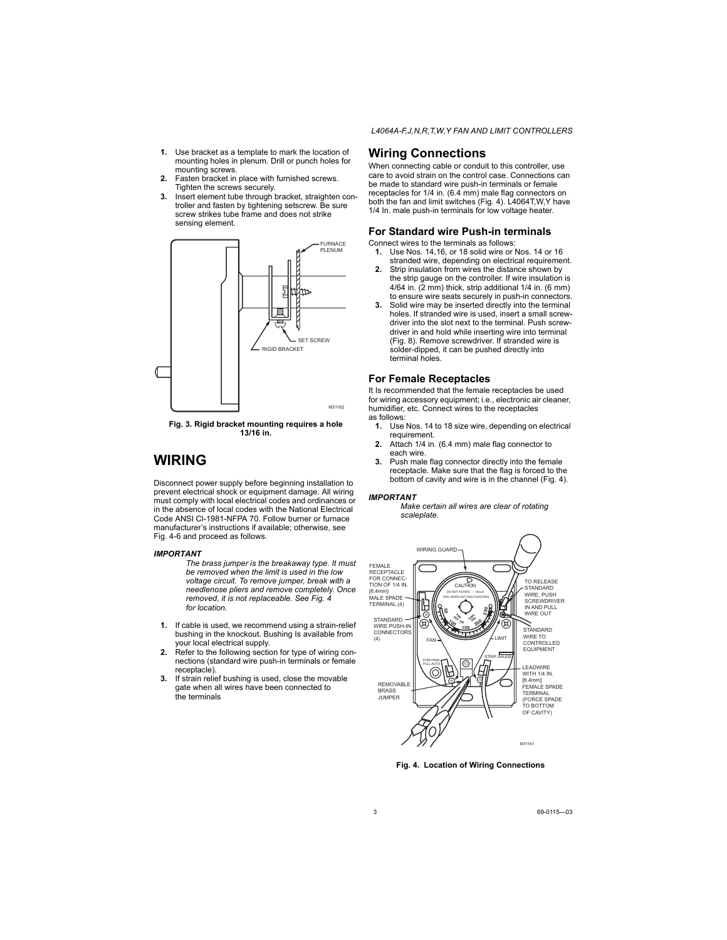- **1.** Use bracket as a template to mark the location of mounting holes in plenum. Drill or punch holes for mounting screws.
- **2.** Fasten bracket in place with furnished screws. Tighten the screws securely.
- **3.** Insert element tube through bracket, straighten controller and fasten by tightening setscrew. Be sure screw strikes tube frame and does not strike sensing element.



**Fig. 3. Rigid bracket mounting requires a hole 13/16 in.**

## **WIRING**

Disconnect power supply before beginning installation to prevent electrical shock or equipment damage. All wiring must comply with local electrical codes and ordinances or in the absence of local codes with the National Electrical Code ANSI Cl-1981-NFPA 70. Follow burner or furnace manufacturer's instructions if available; otherwise, see Fig. 4-6 and proceed as follows.

#### *IMPORTANT*

*The brass jumper is the breakaway type. It must be removed when the limit is used in the low voltage circuit. To remove jumper, break with a needlenose pliers and remove completely. Once removed, it is not replaceable. See Fig. 4 for location.*

- **1.** If cable is used, we recommend using a strain-relief bushing in the knockout. Bushing Is available from your local electrical supply.
- **2.** Refer to the following section for type of wiring connections (standard wire push-in terminals or female receptacle).
- **3.** If strain relief bushing is used, close the movable gate when all wires have been connected to the terminals

### **Wiring Connections**

When connecting cable or conduit to this controller, use care to avoid strain on the control case. Connections can be made to standard wire push-in terminals or female receptacles for 1/4 in. (6.4 mm) male flag connectors on both the fan and limit switches (Fig. 4). L4064T,W,Y have 1/4 In. male push-in terminals for low voltage heater.

### **For Standard wire Push-in terminals**

Connect wires to the terminals as follows:

- **1.** Use Nos. 14,16, or 18 solid wire or Nos. 14 or 16 stranded wire, depending on electrical requirement.
- **2.** Strip insulation from wires the distance shown by the strip gauge on the controller. If wire insulation is 4/64 in. (2 mm) thick, strip additional 1/4 in. (6 mm) to ensure wire seats securely in push-in connectors.
- **3.** Solid wire may be inserted directly into the terminal holes. If stranded wire is used, insert a small screwdriver into the slot next to the terminal. Push screwdriver in and hold while inserting wire into terminal (Fig. 8). Remove screwdriver. If stranded wire is solder-dipped, it can be pushed directly into terminal holes.

### **For Female Receptacles**

It Is recommended that the female receptacles be used for wiring accessory equipment; i.e., electronic air cleaner, humidifier, etc. Connect wires to the receptacles as follows:

- **1.** Use Nos. 14 to 18 size wire, depending on electrical requirement.
- **2.** Attach 1/4 in. (6.4 mm) male flag connector to each wire.
- **3.** Push male flag connector directly into the female receptacle. Make sure that the flag is forced to the bottom of cavity and wire is in the channel (Fig. 4).

### *IMPORTANT*

*Make certain all wires are clear of rotating scaleplate.*



**Fig. 4. Location of Wiring Connections**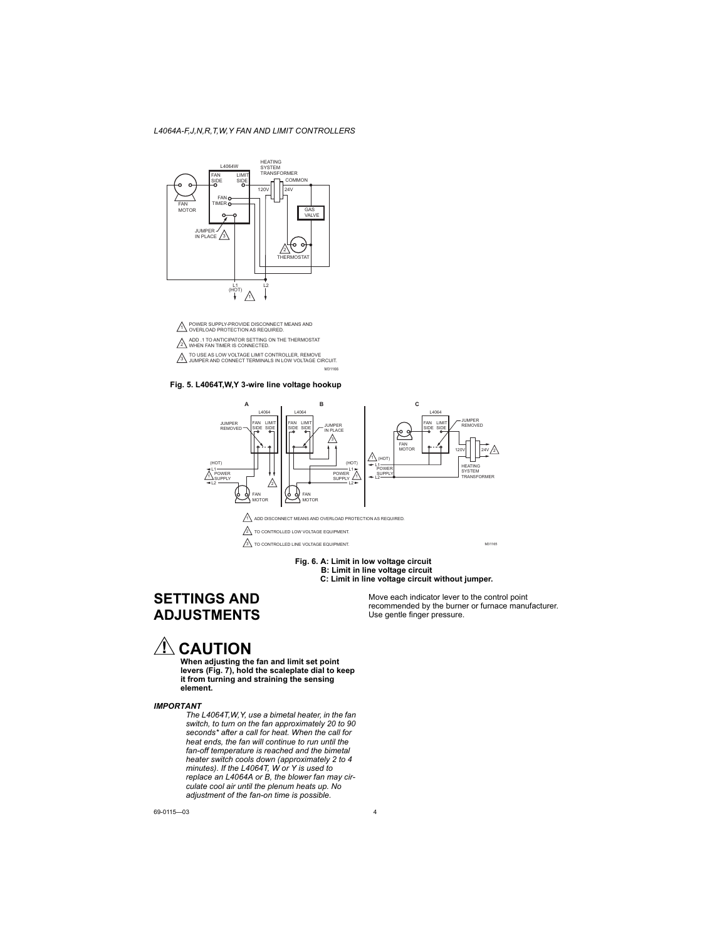

M31166





#### **Fig. 6. A: Limit in low voltage circuit B: Limit in line voltage circuit C: Limit in line voltage circuit without jumper.**

## **SETTINGS AND ADJUSTMENTS**

Move each indicator lever to the control point recommended by the burner or furnace manufacturer. Use gentle finger pressure.

# $\Lambda$  CAUTION

**When adjusting the fan and limit set point levers (Fig. 7), hold the scaleplate dial to keep it from turning and straining the sensing element.**

#### *IMPORTANT*

*The L4064T,W,Y, use a bimetal heater, in the fan switch, to turn on the fan approximately 20 to 90 seconds\* after a call for heat. When the call for heat ends, the fan will continue to run until the fan-off temperature is reached and the bimetal heater switch cools down (approximately 2 to 4 minutes). If the L4064T, W or Y is used to replace an L4064A or B, the blower fan may circulate cool air until the plenum heats up. No adjustment of the fan-on time is possible.*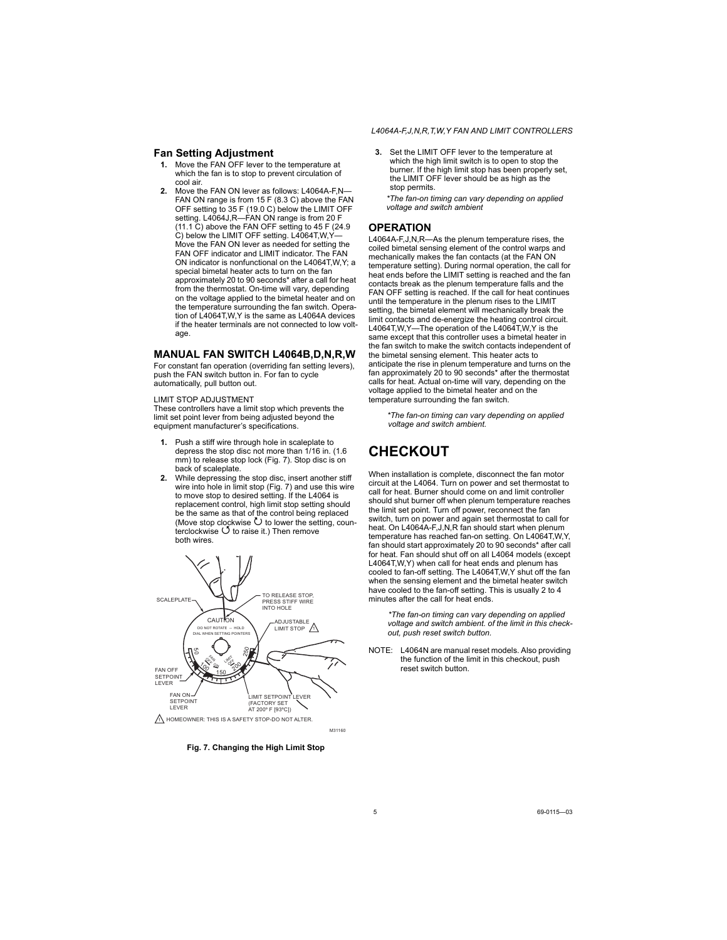### **Fan Setting Adjustment**

- **1.** Move the FAN OFF lever to the temperature at which the fan is to stop to prevent circulation of cool air.
- **2.** Move the FAN ON lever as follows: L4064A-F,N— FAN ON range is from 15 F (8.3 C) above the FAN OFF setting to 35 F (19.0 C) below the LIMIT OFF setting. L4064J,R—FAN ON range is from 20 F (11.1 C) above the FAN OFF setting to 45 F (24.9 C) below the LIMIT OFF setting. L4064T, W, Y-Move the FAN ON lever as needed for setting the FAN OFF indicator and LIMIT indicator. The FAN ON indicator is nonfunctional on the L4064T,W,Y; a special bimetal heater acts to turn on the fan approximately 20 to 90 seconds\* after a call for heat from the thermostat. On-time will vary, depending on the voltage applied to the bimetal heater and on the temperature surrounding the fan switch. Operation of  $\frac{1}{4064T}$  W Y is the same as L4064A devices if the heater terminals are not connected to low voltage

### **MANUAL FAN SWITCH L4064B,D,N,R,W**

For constant fan operation (overriding fan setting levers), push the FAN switch button in. For fan to cycle automatically, pull button out.

#### LIMIT STOP ADJUSTMENT

These controllers have a limit stop which prevents the limit set point lever from being adjusted beyond the equipment manufacturer's specifications.

- **1.** Push a stiff wire through hole in scaleplate to depress the stop disc not more than 1/16 in. (1.6 mm) to release stop lock (Fig. 7). Stop disc is on back of scaleplate.
- **2.** While depressing the stop disc, insert another stiff wire into hole in limit stop (Fig. 7) and use this wire to move stop to desired setting. If the L4064 is replacement control, high limit stop setting should be the same as that of the control being replaced (Move stop clockwise  $\bullet$  to lower the setting, counterclockwise  $\ddot{\bigcirc}$  to raise it.) Then remove both wires.



**Fig. 7. Changing the High Limit Stop**

**3.** Set the LIMIT OFF lever to the temperature at which the high limit switch is to open to stop the burner. If the high limit stop has been properly set, the LIMIT OFF lever should be as high as the stop permits.

*\*The fan-on timing can vary depending on applied voltage and switch ambient*

### **OPERATION**

L4064A-F,J,N,R—As the plenum temperature rises, the coiled bimetal sensing element of the control warps and mechanically makes the fan contacts (at the FAN ON temperature setting). During normal operation, the call for heat ends before the LIMIT setting is reached and the fan contacts break as the plenum temperature falls and the FAN OFF setting is reached. If the call for heat continues until the temperature in the plenum rises to the LIMIT setting, the bimetal element will mechanically break the limit contacts and de-energize the heating control circuit. L4064T,W,Y—The operation of the L4064T,W,Y is the same except that this controller uses a bimetal heater in the fan switch to make the switch contacts independent of the bimetal sensing element. This heater acts to anticipate the rise in plenum temperature and turns on the fan approximately 20 to 90 seconds\* after the thermostat calls for heat. Actual on-time will vary, depending on the voltage applied to the bimetal heater and on the temperature surrounding the fan switch.

*\*The fan-on timing can vary depending on applied voltage and switch ambient.*

## **CHECKOUT**

When installation is complete, disconnect the fan motor circuit at the L4064. Turn on power and set thermostat to call for heat. Burner should come on and limit controller should shut burner off when plenum temperature reaches the limit set point. Turn off power, reconnect the fan switch, turn on power and again set thermostat to call for heat. On L4064A-F,J,N,R fan should start when plenum temperature has reached fan-on setting. On L4064T,W,Y, fan should start approximately 20 to 90 seconds\* after call for heat. Fan should shut off on all L4064 models (except L4064T,W,Y) when call for heat ends and plenum has cooled to fan-off setting. The L4064T,W,Y shut off the fan when the sensing element and the bimetal heater switch have cooled to the fan-off setting. This is usually 2 to 4 minutes after the call for heat ends.

*\*The fan-on timing can vary depending on applied voltage and switch ambient. of the limit in this checkout, push reset switch button.*

NOTE: L4064N are manual reset models. Also providing the function of the limit in this checkout, push reset switch button.